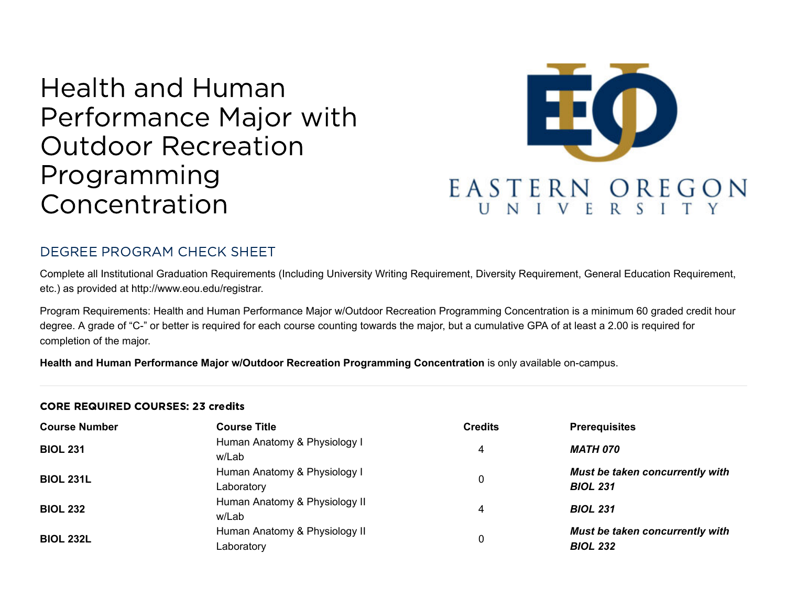# Health and Human Performance Major with Outdoor Recreation Programming Concentration



# DEGREE PROGRAM CHECK SHEET

Complete all Institutional Graduation Requirements (Including University Writing Requirement, Diversity Requirement, General Education Requirement, etc.) as provided at http://www.eou.edu/registrar.

Program Requirements: Health and Human Performance Major w/Outdoor Recreation Programming Concentration is a minimum 60 graded credit hour degree. A grade of "C-" or better is required for each course counting towards the major, but a cumulative GPA of at least a 2.00 is required for completion of the major.

**Health and Human Performance Major w/Outdoor Recreation Programming Concentration** is only available on-campus.

#### CORE REQUIRED COURSES: 23 credits

| <b>Course Number</b> | <b>Course Title</b>                         | <b>Credits</b> | <b>Prerequisites</b>                               |
|----------------------|---------------------------------------------|----------------|----------------------------------------------------|
| <b>BIOL 231</b>      | Human Anatomy & Physiology I<br>w/Lab       | 4              | MATH 070                                           |
| <b>BIOL 231L</b>     | Human Anatomy & Physiology I<br>Laboratory  |                | Must be taken concurrently with<br><b>BIOL 231</b> |
| <b>BIOL 232</b>      | Human Anatomy & Physiology II<br>w/Lab      | 4              | <b>BIOL 231</b>                                    |
| <b>BIOL 232L</b>     | Human Anatomy & Physiology II<br>Laboratory | 0              | Must be taken concurrently with<br><b>BIOL 232</b> |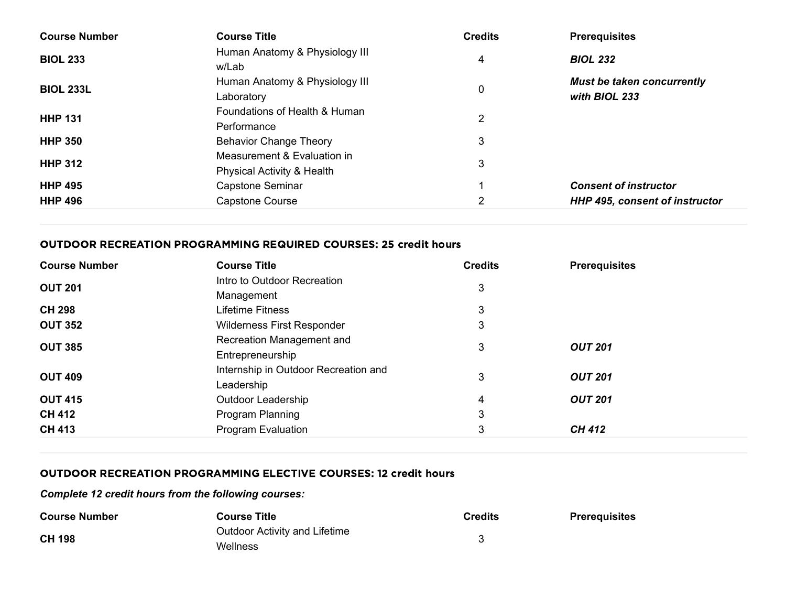| <b>Course Number</b> | <b>Course Title</b>                                       | <b>Credits</b> | <b>Prerequisites</b>                               |
|----------------------|-----------------------------------------------------------|----------------|----------------------------------------------------|
| <b>BIOL 233</b>      | Human Anatomy & Physiology III<br>w/Lab                   | 4              | <b>BIOL 232</b>                                    |
| <b>BIOL 233L</b>     | Human Anatomy & Physiology III<br>Laboratory              | 0              | <b>Must be taken concurrently</b><br>with BIOL 233 |
| <b>HHP 131</b>       | Foundations of Health & Human<br>Performance              | 2              |                                                    |
| <b>HHP 350</b>       | <b>Behavior Change Theory</b>                             | 3              |                                                    |
| <b>HHP 312</b>       | Measurement & Evaluation in<br>Physical Activity & Health | 3              |                                                    |
| <b>HHP 495</b>       | Capstone Seminar                                          |                | <b>Consent of instructor</b>                       |
| <b>HHP 496</b>       | Capstone Course                                           | 2              | <b>HHP 495, consent of instructor</b>              |

### OUTDOOR RECREATION PROGRAMMING REQUIRED COURSES: 25 credit hours

| <b>Course Number</b> | <b>Course Title</b>                                | <b>Credits</b> | <b>Prerequisites</b> |
|----------------------|----------------------------------------------------|----------------|----------------------|
| <b>OUT 201</b>       | Intro to Outdoor Recreation<br>Management          | 3              |                      |
| <b>CH 298</b>        | Lifetime Fitness                                   | 3              |                      |
| <b>OUT 352</b>       | Wilderness First Responder                         | 3              |                      |
| <b>OUT 385</b>       | Recreation Management and<br>Entrepreneurship      | 3              | <b>OUT 201</b>       |
| <b>OUT 409</b>       | Internship in Outdoor Recreation and<br>Leadership | 3              | <b>OUT 201</b>       |
| <b>OUT 415</b>       | Outdoor Leadership                                 | 4              | <b>OUT 201</b>       |
| <b>CH 412</b>        | Program Planning                                   | 3              |                      |
| <b>CH 413</b>        | <b>Program Evaluation</b>                          | 3              | <b>CH 412</b>        |

## OUTDOOR RECREATION PROGRAMMING ELECTIVE COURSES: 12 credit hours

#### *Complete 12 credit hours from the following courses:*

| <b>Course Number</b> | <b>Course Title</b>                  | <b>Credits</b> | <b>Prerequisites</b> |
|----------------------|--------------------------------------|----------------|----------------------|
| <b>CH 198</b>        | <b>Outdoor Activity and Lifetime</b> |                |                      |
|                      | Wellness                             |                |                      |